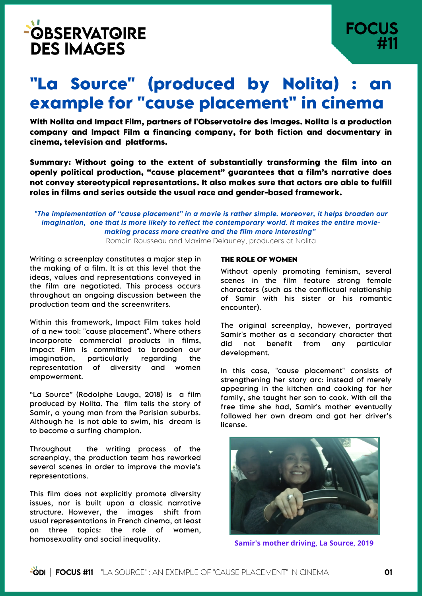# **"La Source" (produced by Nolita) : an example for "cause placement" in cinema**

**With Nolita and Impact Film, partners of l'Observatoire des images. Nolita is a production company and Impact Film a financing company, for both fiction and documentary in cinema, television and platforms.**

**Summary: Without going to the extent of substantially transforming the film into an openly political production, "cause placement" guarantees that a film's narrative does not convey stereotypical representations. It also makes sure that actors are able to fulfill roles in films and series outside the usual race and gender-based framework.**

*"The implementation of "cause placement" in a movie is rather simple. Moreover, it helps broaden our imagination, one that is more likely to reflect the contemporary world. It makes the entire moviemaking process more creative and the film more interesting"* Romain Rousseau and Maxime Delauney, producers at Nolita

Writing a screenplay constitutes a major step in the making of a film. It is at this level that the ideas, values and representations conveyed in the film are negotiated. This process occurs throughout an ongoing discussion between the production team and the screenwriters.

Within this framework, Impact Film takes hold of a new tool: "cause placement". Where others incorporate commercial products in films, Impact Film is committed to broaden our imagination, particularly regarding the representation of diversity and women empowerment.

"La Source" (Rodolphe Lauga, 2018) is a film produced by Nolita. The film tells the story of Samir, a young man from the Parisian suburbs. Although he is not able to swim, his dream is to become a surfing champion.

Throughout the writing process of the screenplay, the production team has reworked several scenes in order to improve the movie's representations.

This film does not explicitly promote diversity issues, nor is built upon a classic narrative structure. However, the images shift from usual representations in French cinema, at least on three topics: the role of women, homosexuality and social inequality.

# **THE ROLE OF WOMEN**

Without openly promoting feminism, several scenes in the film feature strong female characters (such as the conflictual relationship of Samir with his sister or his romantic encounter).

The original screenplay, however, portrayed Samir's mother as a secondary character that did not benefit from any particular development.

In this case, "cause placement" consists of strengthening her story arc: instead of merely appearing in the kitchen and cooking for her family, she taught her son to cook. With all the free time she had, Samir's mother eventually followed her own dream and got her driver's license.



**Samir's mother driving, La Source, 2019**